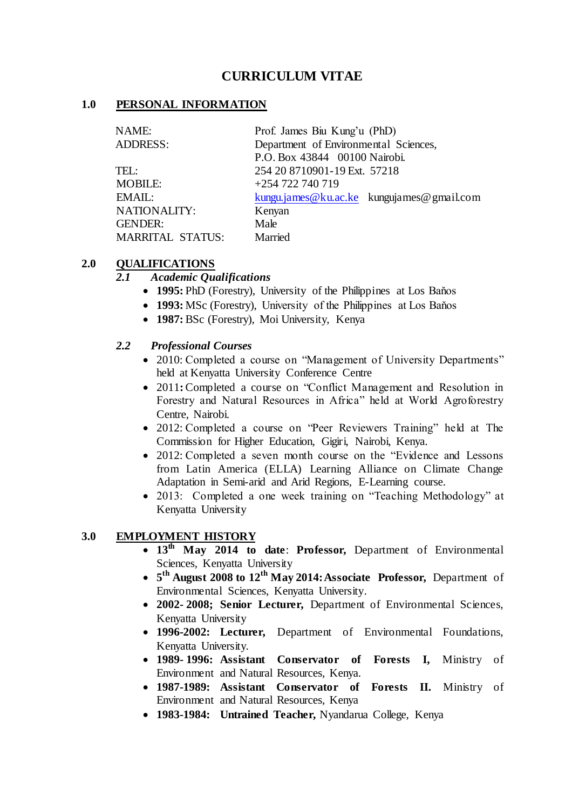# **CURRICULUM VITAE**

### **1.0 PERSONAL INFORMATION**

| NAME:                   | Prof. James Biu Kung'u (PhD)              |
|-------------------------|-------------------------------------------|
| <b>ADDRESS:</b>         | Department of Environmental Sciences,     |
|                         | P.O. Box 43844 00100 Nairobi.             |
| TEL:                    | 254 20 8710901-19 Ext. 57218              |
| <b>MOBILE:</b>          | +254 722 740 719                          |
| EMAIL:                  | kungu.james@ku.ac.ke kungujames@gmail.com |
| <b>NATIONALITY:</b>     | Kenyan                                    |
| <b>GENDER:</b>          | Male                                      |
| <b>MARRITAL STATUS:</b> | Married                                   |

### **2.0 QUALIFICATIONS**

### *2.1 Academic Qualifications*

- **1995:** PhD (Forestry), University of the Philippines at Los Baňos
- **1993:** MSc (Forestry), University of the Philippines at Los Baňos
- **1987:** BSc (Forestry), Moi University, Kenya

### *2.2 Professional Courses*

- 2010: Completed a course on "Management of University Departments" held at Kenyatta University Conference Centre
- 2011**:** Completed a course on "Conflict Management and Resolution in Forestry and Natural Resources in Africa" held at World Agroforestry Centre, Nairobi.
- 2012: Completed a course on "Peer Reviewers Training" held at The Commission for Higher Education, Gigiri, Nairobi, Kenya.
- 2012: Completed a seven month course on the "Evidence and Lessons" from Latin America (ELLA) Learning Alliance on Climate Change Adaptation in Semi-arid and Arid Regions, E-Learning course.
- 2013: Completed a one week training on "Teaching Methodology" at Kenyatta University

### **3.0 EMPLOYMENT HISTORY**

- **13th May 2014 to date**: **Professor,** Department of Environmental Sciences, Kenyatta University
- **5 th August 2008 to 12th May 2014:Associate Professor,** Department of Environmental Sciences, Kenyatta University.
- **2002- 2008; Senior Lecturer,** Department of Environmental Sciences, Kenyatta University
- **1996-2002: Lecturer,** Department of Environmental Foundations, Kenyatta University.
- **1989- 1996: Assistant Conservator of Forests I,** Ministry of Environment and Natural Resources, Kenya.
- **1987-1989: Assistant Conservator of Forests II.** Ministry of Environment and Natural Resources, Kenya
- **1983-1984: Untrained Teacher,** Nyandarua College, Kenya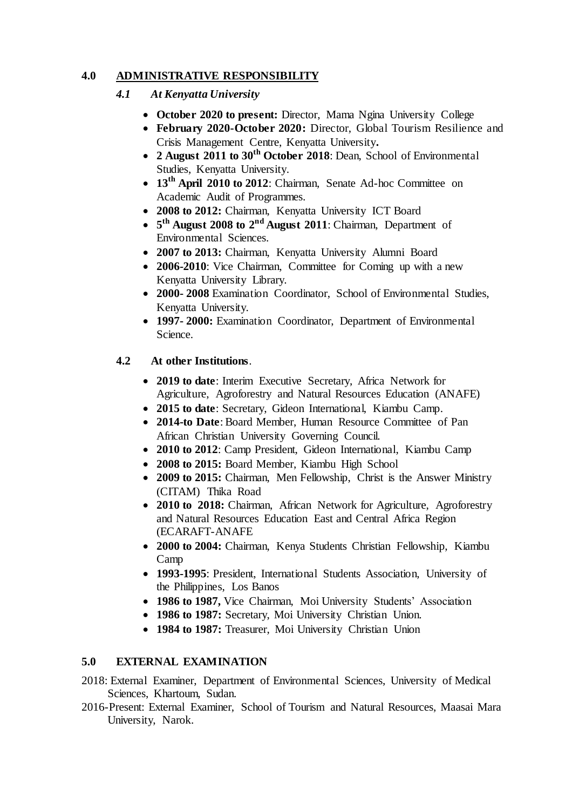## **4.0 ADMINISTRATIVE RESPONSIBILITY**

## *4.1 At Kenyatta University*

- October 2020 to present: Director, Mama Ngina University College
- **February 2020-October 2020:** Director, Global Tourism Resilience and Crisis Management Centre, Kenyatta University**.**
- **2 August 2011 to 30th October 2018**: Dean, School of Environmental Studies, Kenyatta University.
- 13<sup>th</sup> **April 2010 to 2012**: Chairman, Senate Ad-hoc Committee on Academic Audit of Programmes.
- **2008 to 2012:** Chairman, Kenyatta University ICT Board
- **5 th August 2008 to 2nd August 2011**: Chairman, Department of Environmental Sciences.
- **2007 to 2013:** Chairman, Kenyatta University Alumni Board
- 2006-2010: Vice Chairman, Committee for Coming up with a new Kenyatta University Library.
- **2000- 2008** Examination Coordinator, School of Environmental Studies, Kenyatta University.
- **1997- 2000:** Examination Coordinator, Department of Environmental Science.

## **4.2 At other Institutions**.

- **2019 to date**: Interim Executive Secretary, Africa Network for Agriculture, Agroforestry and Natural Resources Education (ANAFE)
- **2015 to date**: Secretary, Gideon International, Kiambu Camp.
- **2014-to Date**: Board Member, Human Resource Committee of Pan African Christian University Governing Council.
- **2010 to 2012**: Camp President, Gideon International, Kiambu Camp
- **2008 to 2015:** Board Member, Kiambu High School
- **2009 to 2015:** Chairman, Men Fellowship, Christ is the Answer Ministry (CITAM) Thika Road
- 2010 to 2018: Chairman, African Network for Agriculture, Agroforestry and Natural Resources Education East and Central Africa Region (ECARAFT-ANAFE
- **2000 to 2004:** Chairman, Kenya Students Christian Fellowship, Kiambu Camp
- **1993-1995**: President, International Students Association, University of the Philippines, Los Banos
- **1986 to 1987,** Vice Chairman, Moi University Students' Association
- **1986 to 1987:** Secretary, Moi University Christian Union.
- **1984 to 1987:** Treasurer, Moi University Christian Union

### **5.0 EXTERNAL EXAMINATION**

- 2018: External Examiner, Department of Environmental Sciences, University of Medical Sciences, Khartoum, Sudan.
- 2016-Present: External Examiner, School of Tourism and Natural Resources, Maasai Mara University, Narok.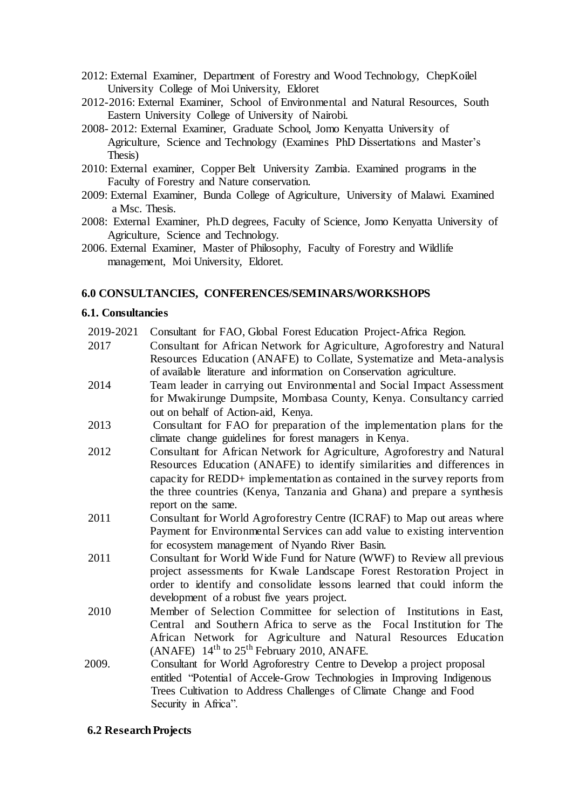- 2012: External Examiner, Department of Forestry and Wood Technology, ChepKoilel University College of Moi University, Eldoret
- 2012-2016: External Examiner, School of Environmental and Natural Resources, South Eastern University College of University of Nairobi.
- 2008- 2012: External Examiner, Graduate School, Jomo Kenyatta University of Agriculture, Science and Technology (Examines PhD Dissertations and Master's Thesis)
- 2010: External examiner, Copper Belt University Zambia. Examined programs in the Faculty of Forestry and Nature conservation.
- 2009: External Examiner, Bunda College of Agriculture, University of Malawi. Examined a Msc. Thesis.
- 2008: External Examiner, Ph.D degrees, Faculty of Science, Jomo Kenyatta University of Agriculture, Science and Technology.
- 2006. External Examiner, Master of Philosophy, Faculty of Forestry and Wildlife management, Moi University, Eldoret.

#### **6.0 CONSULTANCIES, CONFERENCES/SEMINARS/WORKSHOPS**

#### **6.1. Consultancies**

- 2019-2021 Consultant for FAO, Global Forest Education Project-Africa Region.
- 2017 Consultant for African Network for Agriculture, Agroforestry and Natural Resources Education (ANAFE) to Collate, Systematize and Meta-analysis of available literature and information on Conservation agriculture.
- 2014 Team leader in carrying out Environmental and Social Impact Assessment for Mwakirunge Dumpsite, Mombasa County, Kenya. Consultancy carried out on behalf of Action-aid, Kenya.
- 2013 Consultant for FAO for preparation of the implementation plans for the climate change guidelines for forest managers in Kenya.
- 2012 Consultant for African Network for Agriculture, Agroforestry and Natural Resources Education (ANAFE) to identify similarities and differences in capacity for REDD+ implementation as contained in the survey reports from the three countries (Kenya, Tanzania and Ghana) and prepare a synthesis report on the same.
- 2011 Consultant for World Agroforestry Centre (ICRAF) to Map out areas where Payment for Environmental Services can add value to existing intervention for ecosystem management of Nyando River Basin.
- 2011 Consultant for World Wide Fund for Nature (WWF) to Review all previous project assessments for Kwale Landscape Forest Restoration Project in order to identify and consolidate lessons learned that could inform the development of a robust five years project.
- 2010 Member of Selection Committee for selection of Institutions in East, Central and Southern Africa to serve as the Focal Institution for The African Network for Agriculture and Natural Resources Education (ANAFE)  $14<sup>th</sup>$  to  $25<sup>th</sup>$  February 2010, ANAFE.
- 2009. Consultant for World Agroforestry Centre to Develop a project proposal entitled "Potential of Accele-Grow Technologies in Improving Indigenous Trees Cultivation to Address Challenges of Climate Change and Food Security in Africa".

#### **6.2 ResearchProjects**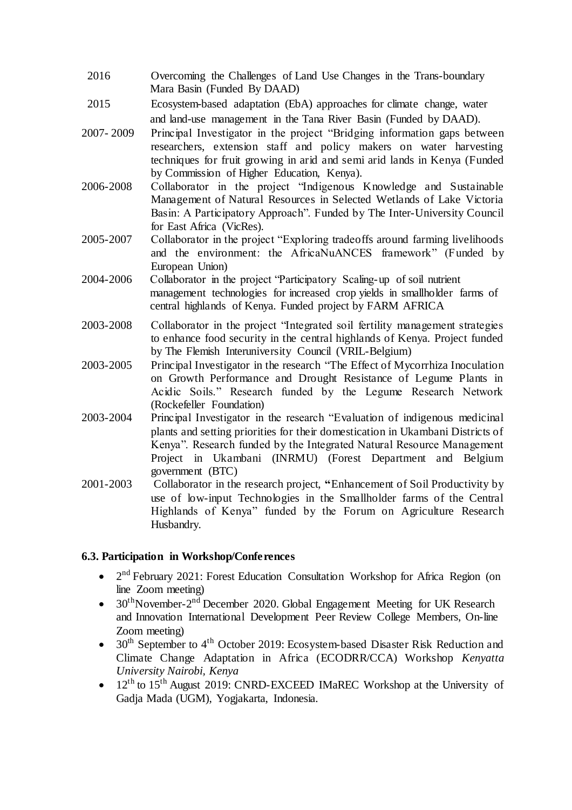- 2016 Overcoming the Challenges of Land Use Changes in the Trans-boundary Mara Basin (Funded By DAAD)
- 2015 Ecosystem‐based adaptation (EbA) approaches for climate change, water and land‐use management in the Tana River Basin (Funded by DAAD).
- 2007- 2009 Principal Investigator in the project "Bridging information gaps between researchers, extension staff and policy makers on water harvesting techniques for fruit growing in arid and semi arid lands in Kenya (Funded by Commission of Higher Education, Kenya).
- 2006-2008 Collaborator in the project "Indigenous Knowledge and Sustainable Management of Natural Resources in Selected Wetlands of Lake Victoria Basin: A Participatory Approach". Funded by The Inter-University Council for East Africa (VicRes).
- 2005-2007 Collaborator in the project "Exploring tradeoffs around farming livelihoods and the environment: the AfricaNuANCES framework" (Funded by European Union)
- 2004-2006 Collaborator in the project "Participatory Scaling-up of soil nutrient management technologies for increased crop yields in smallholder farms of central highlands of Kenya. Funded project by FARM AFRICA
- 2003-2008 Collaborator in the project "Integrated soil fertility management strategies to enhance food security in the central highlands of Kenya. Project funded by The Flemish Interuniversity Council (VRIL-Belgium)
- 2003-2005 Principal Investigator in the research "The Effect of Mycorrhiza Inoculation on Growth Performance and Drought Resistance of Legume Plants in Acidic Soils." Research funded by the Legume Research Network (Rockefeller Foundation)
- 2003-2004 Principal Investigator in the research "Evaluation of indigenous medicinal plants and setting priorities for their domestication in Ukambani Districts of Kenya". Research funded by the Integrated Natural Resource Management Project in Ukambani (INRMU) (Forest Department and Belgium government (BTC)
- 2001-2003 Collaborator in the research project, **"**Enhancement of Soil Productivity by use of low-input Technologies in the Smallholder farms of the Central Highlands of Kenya" funded by the Forum on Agriculture Research Husbandry.

#### **6.3. Participation in Workshop/Conferences**

- 2<sup>nd</sup> February 2021: Forest Education Consultation Workshop for Africa Region (on line Zoom meeting)
- $30<sup>th</sup>$ November-2<sup>nd</sup> December 2020. Global Engagement Meeting for UK Research and Innovation International Development Peer Review College Members, On-line Zoom meeting)
- $\bullet$  30<sup>th</sup> September to 4<sup>th</sup> October 2019: Ecosystem-based Disaster Risk Reduction and Climate Change Adaptation in Africa (ECODRR/CCA) Workshop *Kenyatta University Nairobi, Kenya*
- $12<sup>th</sup>$  to  $15<sup>th</sup>$  August 2019: CNRD-EXCEED IMaREC Workshop at the University of Gadja Mada (UGM), Yogjakarta, Indonesia.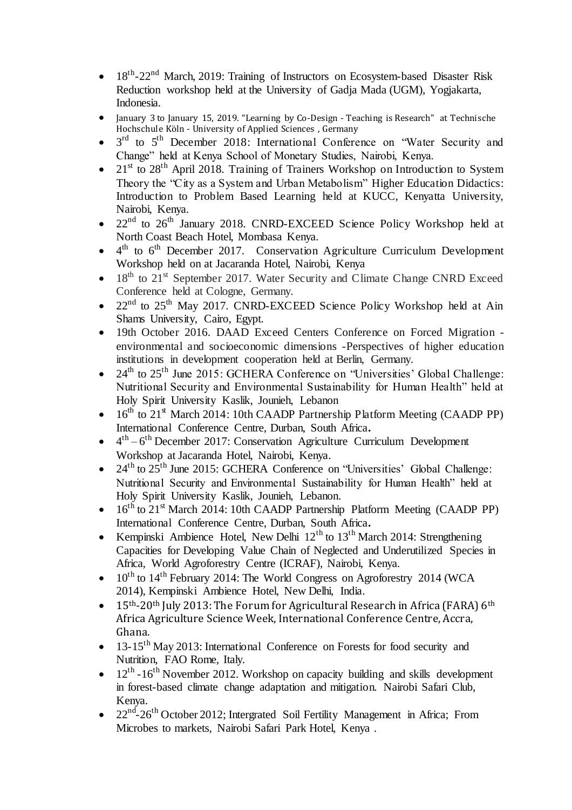- $\bullet$  18<sup>th</sup>-22<sup>nd</sup> March, 2019: Training of Instructors on Ecosystem-based Disaster Risk Reduction workshop held at the University of Gadja Mada (UGM), Yogjakarta, Indonesia.
- January 3 to January 15, 2019. "Learning by Co-Design Teaching is Research" at Technische Hochschule Köln - University of Applied Sciences, Germany
- $\bullet$  3<sup>rd</sup> to 5<sup>th</sup> December 2018: International Conference on "Water Security and Change" held at Kenya School of Monetary Studies, Nairobi, Kenya.
- 21<sup>st</sup> to 28<sup>th</sup> April 2018. Training of Trainers Workshop on Introduction to System Theory the "City as a System and Urban Metabolism" Higher Education Didactics: Introduction to Problem Based Learning held at KUCC, Kenyatta University, Nairobi, Kenya.
- $\bullet$  22<sup>nd</sup> to 26<sup>th</sup> January 2018. CNRD-EXCEED Science Policy Workshop held at North Coast Beach Hotel, Mombasa Kenya.
- $\bullet$  4<sup>th</sup> to 6<sup>th</sup> December 2017. Conservation Agriculture Curriculum Development Workshop held on at Jacaranda Hotel, Nairobi, Kenya
- $\bullet$  18<sup>th</sup> to 21<sup>st</sup> September 2017. Water Security and Climate Change CNRD Exceed Conference held at Cologne, Germany.
- $22<sup>nd</sup>$  to  $25<sup>th</sup>$  May 2017. CNRD-EXCEED Science Policy Workshop held at Ain Shams University, Cairo, Egypt.
- 19th October 2016. DAAD Exceed Centers Conference on Forced Migration environmental and socioeconomic dimensions -Perspectives of higher education institutions in development cooperation held at Berlin, Germany.
- $\bullet$  24<sup>th</sup> to 25<sup>th</sup> June 2015: GCHERA Conference on "Universities' Global Challenge: Nutritional Security and Environmental Sustainability for Human Health" held at Holy Spirit University Kaslik, Jounieh, Lebanon
- $16<sup>th</sup>$  to  $21<sup>st</sup>$  March 2014: 10th CAADP Partnership Platform Meeting (CAADP PP) International Conference Centre, Durban, South Africa**.**
- $\bullet$  4<sup>th</sup> 6<sup>th</sup> December 2017: Conservation Agriculture Curriculum Development Workshop at Jacaranda Hotel, Nairobi, Kenya.
- $\bullet$  24<sup>th</sup> to 25<sup>th</sup> June 2015: GCHERA Conference on "Universities" Global Challenge: Nutritional Security and Environmental Sustainability for Human Health" held at Holy Spirit University Kaslik, Jounieh, Lebanon.
- $16<sup>th</sup>$  to  $21<sup>st</sup>$  March 2014: 10th CAADP Partnership Platform Meeting (CAADP PP) International Conference Centre, Durban, South Africa**.**
- Kempinski Ambience Hotel, New Delhi  $12<sup>th</sup>$  to  $13<sup>th</sup>$  March 2014: Strengthening Capacities for Developing Value Chain of Neglected and Underutilized Species in Africa, World Agroforestry Centre (ICRAF), Nairobi, Kenya.
- $\bullet$  10<sup>th</sup> to 14<sup>th</sup> February 2014: The World Congress on Agroforestry 2014 (WCA) 2014), Kempinski Ambience Hotel, New Delhi, India.
- $\bullet$  15<sup>th</sup>-20<sup>th</sup> July 2013: The Forum for Agricultural Research in Africa (FARA) 6<sup>th</sup> Africa Agriculture Science Week, International Conference Centre, Accra, Ghana.
- $\bullet$  13-15<sup>th</sup> May 2013: International Conference on Forests for food security and Nutrition, FAO Rome, Italy.
- $\bullet$  12<sup>th</sup> -16<sup>th</sup> November 2012. Workshop on capacity building and skills development in forest-based climate change adaptation and mitigation. Nairobi Safari Club, Kenya.
- $22<sup>nd</sup> 26<sup>th</sup> October 2012$ ; Intergrated Soil Fertility Management in Africa; From Microbes to markets, Nairobi Safari Park Hotel, Kenya .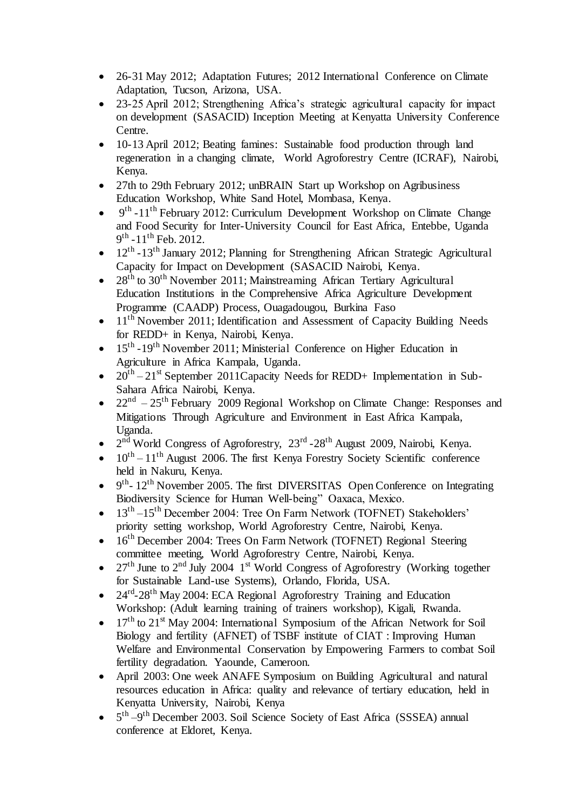- 26-31 May 2012; Adaptation Futures; 2012 International Conference on Climate Adaptation, Tucson, Arizona, USA.
- 23-25 April 2012; Strengthening Africa's strategic agricultural capacity for impact on development (SASACID) Inception Meeting at Kenyatta University Conference Centre.
- 10-13 April 2012; Beating famines: Sustainable food production through land regeneration in a changing climate, World Agroforestry Centre (ICRAF), Nairobi, Kenya.
- 27th to 29th February 2012; unBRAIN Start up Workshop on Agribusiness Education Workshop, White Sand Hotel, Mombasa, Kenya.
- $\bullet$  9<sup>th</sup> -11<sup>th</sup> February 2012: Curriculum Development Workshop on Climate Change and Food Security for Inter-University Council for East Africa, Entebbe, Uganda  $9<sup>th</sup>$  -11<sup>th</sup> Feb. 2012.
- $\bullet$  12<sup>th</sup> -13<sup>th</sup> January 2012; Planning for Strengthening African Strategic Agricultural Capacity for Impact on Development (SASACID Nairobi, Kenya.
- $28<sup>th</sup>$  to  $30<sup>th</sup>$  November 2011: Mainstreaming African Tertiary Agricultural Education Institutions in the Comprehensive Africa Agriculture Development Programme (CAADP) Process, Ouagadougou, Burkina Faso
- $\bullet$  11<sup>th</sup> November 2011; Identification and Assessment of Capacity Building Needs for REDD+ in Kenya, Nairobi, Kenya.
- $\bullet$  15<sup>th</sup> -19<sup>th</sup> November 2011; Ministerial Conference on Higher Education in Agriculture in Africa Kampala, Uganda.
- $20^{th} 21^{st}$  September 2011 Capacity Needs for REDD+ Implementation in Sub-Sahara Africa Nairobi, Kenya.
- $22<sup>nd</sup> 25<sup>th</sup>$  February 2009 Regional Workshop on Climate Change: Responses and Mitigations Through Agriculture and Environment in East Africa Kampala, Uganda.
- 2<sup>nd</sup> World Congress of Agroforestry, 23<sup>rd</sup> -28<sup>th</sup> August 2009, Nairobi, Kenya.
- $-10^{th} 11^{th}$  August 2006. The first Kenya Forestry Society Scientific conference held in Nakuru, Kenya.
- $\bullet$  9<sup>th</sup>-12<sup>th</sup> November 2005. The first DIVERSITAS Open Conference on Integrating Biodiversity Science for Human Well-being" Oaxaca, Mexico.
- $\bullet$  13<sup>th</sup> –15<sup>th</sup> December 2004: Tree On Farm Network (TOFNET) Stakeholders' priority setting workshop, World Agroforestry Centre, Nairobi, Kenya.
- 16<sup>th</sup> December 2004: Trees On Farm Network (TOFNET) Regional Steering committee meeting, World Agroforestry Centre, Nairobi, Kenya.
- $27<sup>th</sup>$  June to  $2<sup>nd</sup>$  July 2004  $1<sup>st</sup>$  World Congress of Agroforestry (Working together for Sustainable Land-use Systems), Orlando, Florida, USA.
- 24<sup>rd</sup>-28<sup>th</sup> May 2004: ECA Regional Agroforestry Training and Education Workshop: (Adult learning training of trainers workshop), Kigali, Rwanda.
- $\bullet$  17<sup>th</sup> to 21<sup>st</sup> May 2004: International Symposium of the African Network for Soil Biology and fertility (AFNET) of TSBF institute of CIAT : Improving Human Welfare and Environmental Conservation by Empowering Farmers to combat Soil fertility degradation. Yaounde, Cameroon.
- April 2003: One week ANAFE Symposium on Building Agricultural and natural resources education in Africa: quality and relevance of tertiary education, held in Kenyatta University, Nairobi, Kenya
- $\bullet$  5<sup>th</sup>  $-9$ <sup>th</sup> December 2003. Soil Science Society of East Africa (SSSEA) annual conference at Eldoret, Kenya.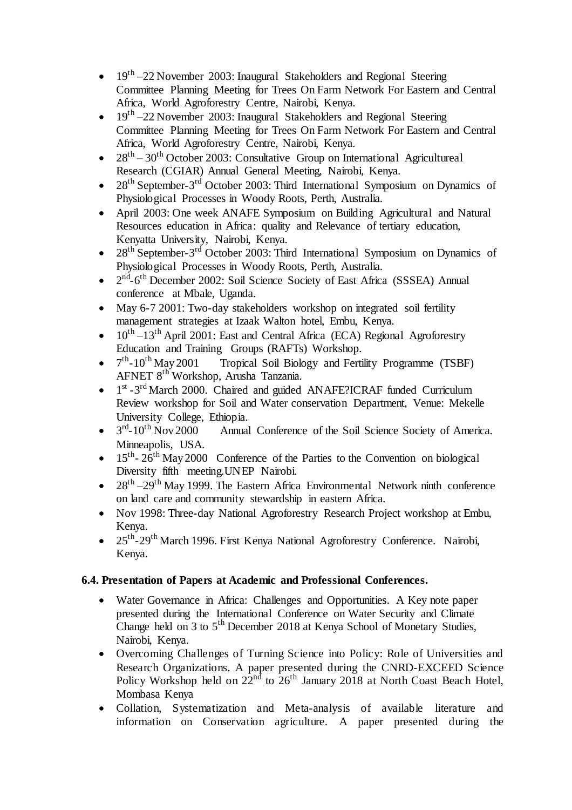- $\bullet$  19<sup>th</sup> –22 November 2003: Inaugural Stakeholders and Regional Steering Committee Planning Meeting for Trees On Farm Network For Eastern and Central Africa, World Agroforestry Centre, Nairobi, Kenya.
- $\bullet$  19<sup>th</sup> –22 November 2003: Inaugural Stakeholders and Regional Steering Committee Planning Meeting for Trees On Farm Network For Eastern and Central Africa, World Agroforestry Centre, Nairobi, Kenya.
- $28<sup>th</sup> 30<sup>th</sup>$  October 2003: Consultative Group on International Agricultureal Research (CGIAR) Annual General Meeting, Nairobi, Kenya.
- $28<sup>th</sup>$  September-3<sup>rd</sup> October 2003: Third International Symposium on Dynamics of Physiological Processes in Woody Roots, Perth, Australia.
- April 2003: One week ANAFE Symposium on Building Agricultural and Natural Resources education in Africa: quality and Relevance of tertiary education, Kenyatta University, Nairobi, Kenya.
- $28<sup>th</sup>$  September-3<sup>rd</sup> October 2003: Third International Symposium on Dynamics of Physiological Processes in Woody Roots, Perth, Australia.
- $\bullet$   $2<sup>nd</sup>$ -6<sup>th</sup> December 2002: Soil Science Society of East Africa (SSSEA) Annual conference at Mbale, Uganda.
- May 6-7 2001: Two-day stakeholders workshop on integrated soil fertility management strategies at Izaak Walton hotel, Embu, Kenya.
- $\bullet$  10<sup>th</sup> -13<sup>th</sup> April 2001: East and Central Africa (ECA) Regional Agroforestry Education and Training Groups (RAFTs) Workshop.
- $\bullet$  7<sup>th</sup> Tropical Soil Biology and Fertility Programme (TSBF) AFNET 8th Workshop, Arusha Tanzania.
- $\bullet$  1<sup>st</sup> -3<sup>rd</sup> March 2000. Chaired and guided ANAFE?ICRAF funded Curriculum Review workshop for Soil and Water conservation Department, Venue: Mekelle University College, Ethiopia.
- $\bullet$  3<sup>rd</sup> Annual Conference of the Soil Science Society of America. Minneapolis, USA.
- $\bullet$  15<sup>th</sup>-26<sup>th</sup> May 2000 Conference of the Parties to the Convention on biological Diversity fifth meeting.UNEP Nairobi.
- $28<sup>th</sup> 29<sup>th</sup>$  May 1999. The Eastern Africa Environmental Network ninth conference on land care and community stewardship in eastern Africa.
- Nov 1998: Three-day National Agroforestry Research Project workshop at Embu, Kenya.
- 25<sup>th</sup>-29<sup>th</sup> March 1996. First Kenya National Agroforestry Conference. Nairobi, Kenya.

## **6.4. Presentation of Papers at Academic and Professional Conferences.**

- Water Governance in Africa: Challenges and Opportunities. A Key note paper presented during the International Conference on Water Security and Climate Change held on 3 to 5<sup>th</sup> December 2018 at Kenya School of Monetary Studies, Nairobi, Kenya.
- Overcoming Challenges of Turning Science into Policy: Role of Universities and Research Organizations. A paper presented during the CNRD-EXCEED Science Policy Workshop held on  $22<sup>nd</sup>$  to  $26<sup>th</sup>$  January 2018 at North Coast Beach Hotel, Mombasa Kenya
- Collation, Systematization and Meta-analysis of available literature and information on Conservation agriculture. A paper presented during the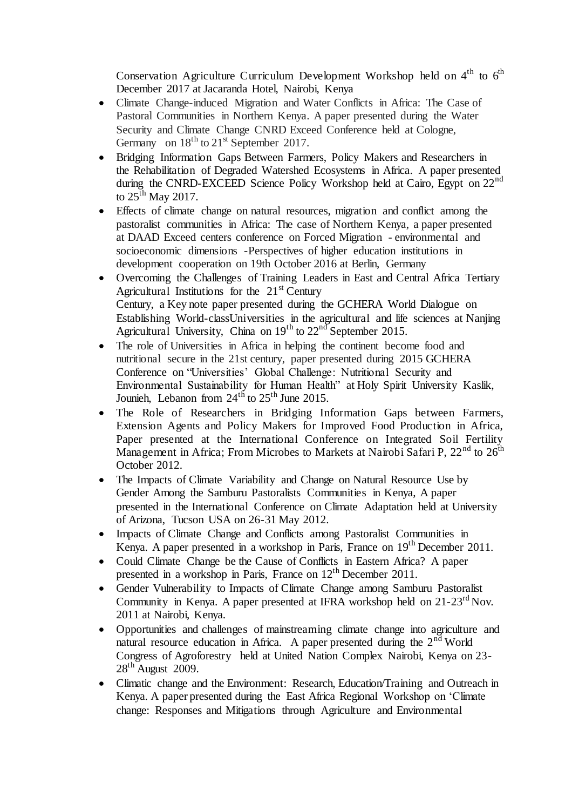Conservation Agriculture Curriculum Development Workshop held on  $4<sup>th</sup>$  to  $6<sup>th</sup>$ December 2017 at Jacaranda Hotel, Nairobi, Kenya

- Climate Change-induced Migration and Water Conflicts in Africa: The Case of Pastoral Communities in Northern Kenya. A paper presented during the Water Security and Climate Change CNRD Exceed Conference held at Cologne, Germany on  $18<sup>th</sup>$  to  $21<sup>st</sup>$  September 2017.
- Bridging Information Gaps Between Farmers, Policy Makers and Researchers in the Rehabilitation of Degraded Watershed Ecosystems in Africa. A paper presented during the CNRD-EXCEED Science Policy Workshop held at Cairo, Egypt on  $22<sup>nd</sup>$ to  $25^{\text{th}}$  May 2017.
- Effects of climate change on natural resources, migration and conflict among the pastoralist communities in Africa: The case of Northern Kenya, a paper presented at DAAD Exceed centers conference on Forced Migration - environmental and socioeconomic dimensions -Perspectives of higher education institutions in development cooperation on 19th October 2016 at Berlin, Germany
- Overcoming the Challenges of Training Leaders in East and Central Africa Tertiary Agricultural Institutions for the  $21<sup>st</sup>$  Century Century, a Key note paper presented during the GCHERA World Dialogue on Establishing World-classUniversities in the agricultural and life sciences at Nanjing Agricultural University, China on  $19<sup>th</sup>$  to  $22<sup>nd</sup>$  September 2015.
- The role of Universities in Africa in helping the continent become food and nutritional secure in the 21st century, paper presented during 2015 GCHERA Conference on "Universities' Global Challenge: Nutritional Security and Environmental Sustainability for Human Health" at Holy Spirit University Kaslik, Jounieh, Lebanon from  $24<sup>th</sup>$  to  $25<sup>th</sup>$  June 2015.
- The Role of Researchers in Bridging Information Gaps between Farmers, Extension Agents and Policy Makers for Improved Food Production in Africa, Paper presented at the International Conference on Integrated Soil Fertility Management in Africa; From Microbes to Markets at Nairobi Safari P,  $22<sup>nd</sup>$  to  $26<sup>th</sup>$ October 2012.
- The Impacts of Climate Variability and Change on Natural Resource Use by Gender Among the Samburu Pastoralists Communities in Kenya, A paper presented in the International Conference on Climate Adaptation held at University of Arizona, Tucson USA on 26-31 May 2012.
- Impacts of Climate Change and Conflicts among Pastoralist Communities in Kenya. A paper presented in a workshop in Paris, France on 19<sup>th</sup> December 2011.
- Could Climate Change be the Cause of Conflicts in Eastern Africa? A paper presented in a workshop in Paris, France on 12<sup>th</sup> December 2011.
- Gender Vulnerability to Impacts of Climate Change among Samburu Pastoralist Community in Kenya. A paper presented at IFRA workshop held on  $21-23<sup>rd</sup>$  Nov. 2011 at Nairobi, Kenya.
- Opportunities and challenges of mainstreaming climate change into agriculture and natural resource education in Africa. A paper presented during the  $2<sup>nd</sup>$  World Congress of Agroforestry held at United Nation Complex Nairobi, Kenya on 23-  $28<sup>th</sup>$  August 2009.
- Climatic change and the Environment: Research, Education/Training and Outreach in Kenya. A paper presented during the East Africa Regional Workshop on 'Climate change: Responses and Mitigations through Agriculture and Environmental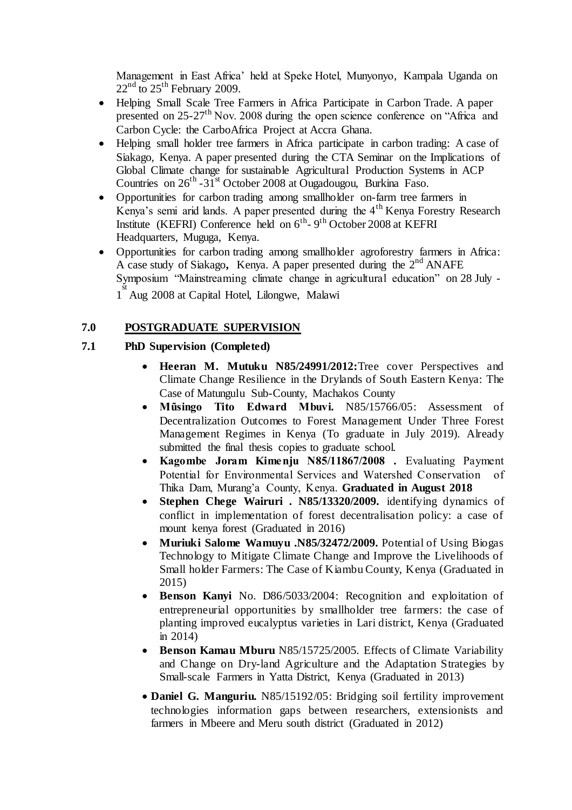Management in East Africa' held at Speke Hotel, Munyonyo, Kampala Uganda on  $22<sup>nd</sup>$  to  $25<sup>th</sup>$  February 2009.

- Helping Small Scale Tree Farmers in Africa Participate in Carbon Trade. A paper presented on 25-27th Nov. 2008 during the open science conference on "Africa and Carbon Cycle: the CarboAfrica Project at Accra Ghana.
- Helping small holder tree farmers in Africa participate in carbon trading: A case of Siakago, Kenya. A paper presented during the CTA Seminar on the Implications of Global Climate change for sustainable Agricultural Production Systems in ACP Countries on  $26^{th}$  -31<sup>st</sup> October 2008 at Ougadougou, Burkina Faso.
- Opportunities for carbon trading among smallholder on-farm tree farmers in Kenya's semi arid lands. A paper presented during the 4<sup>th</sup> Kenya Forestry Research Institute (KEFRI) Conference held on  $6^{th}$ -  $9^{th}$  October 2008 at KEFRI Headquarters, Muguga, Kenya.
- Opportunities for carbon trading among smallholder agroforestry farmers in Africa: A case study of Siakago, Kenya. A paper presented during the 2<sup>nd</sup> ANAFE Symposium "Mainstreaming climate change in agricultural education" on 28 July - 1<sup>st</sup> Aug 2008 at Capital Hotel, Lilongwe, Malawi

### **7.0 POSTGRADUATE SUPERVISION**

### **7.1 PhD Supervision (Completed)**

- **Heeran M. Mutuku N85/24991/2012:**Tree cover Perspectives and Climate Change Resilience in the Drylands of South Eastern Kenya: The Case of Matungulu Sub-County, Machakos County
- **Mũsingo Tito Edward Mbuvi.** N85/15766/05: Assessment of Decentralization Outcomes to Forest Management Under Three Forest Management Regimes in Kenya (To graduate in July 2019). Already submitted the final thesis copies to graduate school.
- **Kagombe Joram Kimenju N85/11867/2008 .** Evaluating Payment Potential for Environmental Services and Watershed Conservation of Thika Dam, Murang'a County, Kenya. **Graduated in August 2018**
- **Stephen Chege Wairuri . N85/13320/2009.** identifying dynamics of conflict in implementation of forest decentralisation policy: a case of mount kenya forest (Graduated in 2016)
- **Muriuki Salome Wamuyu .N85/32472/2009.** Potential of Using Biogas Technology to Mitigate Climate Change and Improve the Livelihoods of Small holder Farmers: The Case of Kiambu County, Kenya (Graduated in 2015)
- **Benson Kanyi** No. D86/5033/2004: Recognition and exploitation of entrepreneurial opportunities by smallholder tree farmers: the case of planting improved eucalyptus varieties in Lari district, Kenya (Graduated in 2014)
- **Benson Kamau Mburu** N85/15725/2005. Effects of Climate Variability and Change on Dry-land Agriculture and the Adaptation Strategies by Small-scale Farmers in Yatta District, Kenya (Graduated in 2013)
- **Daniel G. Manguriu.** N85/15192/05: Bridging soil fertility improvement technologies information gaps between researchers, extensionists and farmers in Mbeere and Meru south district (Graduated in 2012)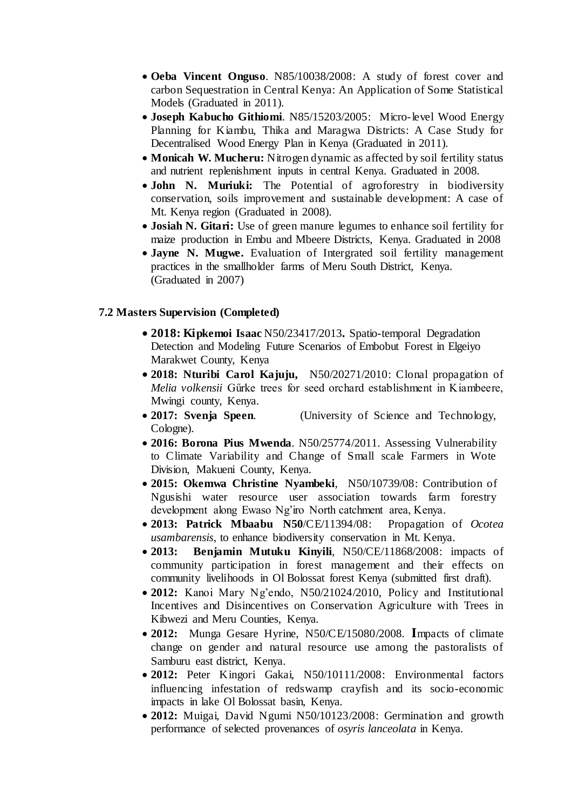- **Oeba Vincent Onguso**. N85/10038/2008: A study of forest cover and carbon Sequestration in Central Kenya: An Application of Some Statistical Models (Graduated in 2011).
- **Joseph Kabucho Githiomi**. N85/15203/2005: Micro-level Wood Energy Planning for Kiambu, Thika and Maragwa Districts: A Case Study for Decentralised Wood Energy Plan in Kenya (Graduated in 2011).
- **Monicah W. Mucheru:** Nitrogen dynamic as affected by soil fertility status and nutrient replenishment inputs in central Kenya. Graduated in 2008.
- **John N. Muriuki:** The Potential of agroforestry in biodiversity conservation, soils improvement and sustainable development: A case of Mt. Kenya region (Graduated in 2008).
- **Josiah N. Gitari:** Use of green manure legumes to enhance soil fertility for maize production in Embu and Mbeere Districts, Kenya. Graduated in 2008
- **Jayne N. Mugwe.** Evaluation of Intergrated soil fertility management practices in the smallholder farms of Meru South District, Kenya. (Graduated in 2007)

#### **7.2 Masters Supervision (Completed)**

- **2018: Kipkemoi Isaac** N50/23417/2013**.** Spatio-temporal Degradation Detection and Modeling Future Scenarios of Embobut Forest in Elgeiyo Marakwet County, Kenya
- **2018: Nturibi Carol Kajuju,** N50/20271/2010: Clonal propagation of *Melia volkensii* Gűrke trees for seed orchard establishment in Kiambeere, Mwingi county, Kenya.
- **2017: Svenja Speen**. (University of Science and Technology, Cologne).
- **2016: Borona Pius Mwenda**. N50/25774/2011. Assessing Vulnerability to Climate Variability and Change of Small scale Farmers in Wote Division, Makueni County, Kenya.
- **2015: Okemwa Christine Nyambeki**, N50/10739/08: Contribution of Ngusishi water resource user association towards farm forestry development along Ewaso Ng'iro North catchment area, Kenya.
- **2013: Patrick Mbaabu N50**/CE/11394/08: Propagation of *Ocotea usambarensis*, to enhance biodiversity conservation in Mt. Kenya.
- **2013: Benjamin Mutuku Kinyili**, N50/CE/11868/2008: impacts of community participation in forest management and their effects on community livelihoods in Ol Bolossat forest Kenya (submitted first draft).
- **2012:** Kanoi Mary Ng'endo, N50/21024/2010, Policy and Institutional Incentives and Disincentives on Conservation Agriculture with Trees in Kibwezi and Meru Counties, Kenya.
- **2012:** Munga Gesare Hyrine, N50/CE/15080/2008. **I**mpacts of climate change on gender and natural resource use among the pastoralists of Samburu east district, Kenya.
- **2012:** Peter Kingori Gakai, N50/10111/2008: Environmental factors influencing infestation of redswamp crayfish and its socio-economic impacts in lake Ol Bolossat basin, Kenya.
- **2012:** Muigai, David Ngumi N50/10123/2008: Germination and growth performance of selected provenances of *osyris lanceolata* in Kenya.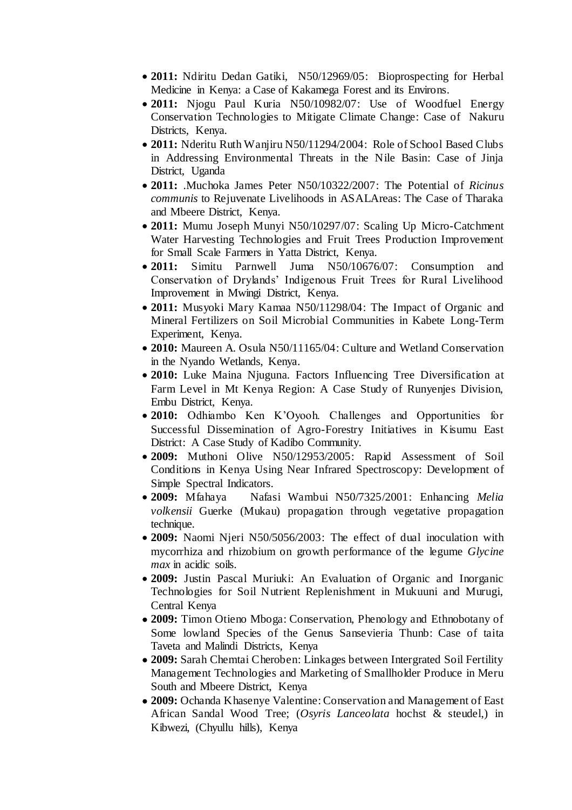- **2011:** Ndiritu Dedan Gatiki, N50/12969/05: Bioprospecting for Herbal Medicine in Kenya: a Case of Kakamega Forest and its Environs.
- **2011:** Njogu Paul Kuria N50/10982/07: Use of Woodfuel Energy Conservation Technologies to Mitigate Climate Change: Case of Nakuru Districts, Kenya.
- **2011:** Nderitu Ruth Wanjiru N50/11294/2004: Role of School Based Clubs in Addressing Environmental Threats in the Nile Basin: Case of Jinja District, Uganda
- **2011:** .Muchoka James Peter N50/10322/2007: The Potential of *Ricinus communis* to Rejuvenate Livelihoods in ASALAreas: The Case of Tharaka and Mbeere District, Kenya.
- **2011:** Mumu Joseph Munyi N50/10297/07: Scaling Up Micro-Catchment Water Harvesting Technologies and Fruit Trees Production Improvement for Small Scale Farmers in Yatta District, Kenya.
- **2011:** Simitu Parnwell Juma N50/10676/07: Consumption and Conservation of Drylands' Indigenous Fruit Trees for Rural Livelihood Improvement in Mwingi District, Kenya.
- **2011:** Musyoki Mary Kamaa N50/11298/04: The Impact of Organic and Mineral Fertilizers on Soil Microbial Communities in Kabete Long-Term Experiment, Kenya.
- **2010:** Maureen A. Osula N50/11165/04: Culture and Wetland Conservation in the Nyando Wetlands, Kenya.
- **2010:** Luke Maina Njuguna. Factors Influencing Tree Diversification at Farm Level in Mt Kenya Region: A Case Study of Runyenjes Division, Embu District, Kenya.
- **2010:** Odhiambo Ken K'Oyooh. Challenges and Opportunities for Successful Dissemination of Agro-Forestry Initiatives in Kisumu East District: A Case Study of Kadibo Community.
- **2009:** Muthoni Olive N50/12953/2005: Rapid Assessment of Soil Conditions in Kenya Using Near Infrared Spectroscopy: Development of Simple Spectral Indicators.
- **2009:** Mfahaya Nafasi Wambui N50/7325/2001: Enhancing *Melia volkensii* Guerke (Mukau) propagation through vegetative propagation technique.
- **2009:** Naomi Njeri N50/5056/2003: The effect of dual inoculation with mycorrhiza and rhizobium on growth performance of the legume *Glycine max* in acidic soils.
- **2009:** Justin Pascal Muriuki: An Evaluation of Organic and Inorganic Technologies for Soil Nutrient Replenishment in Mukuuni and Murugi, Central Kenya
- **2009:** Timon Otieno Mboga: Conservation, Phenology and Ethnobotany of Some lowland Species of the Genus Sansevieria Thunb: Case of taita Taveta and Malindi Districts, Kenya
- **2009:** Sarah Chemtai Cheroben: Linkages between Intergrated Soil Fertility Management Technologies and Marketing of Smallholder Produce in Meru South and Mbeere District, Kenya
- **2009:** Ochanda Khasenye Valentine: Conservation and Management of East African Sandal Wood Tree; (*Osyris Lanceolata* hochst & steudel,) in Kibwezi, (Chyullu hills), Kenya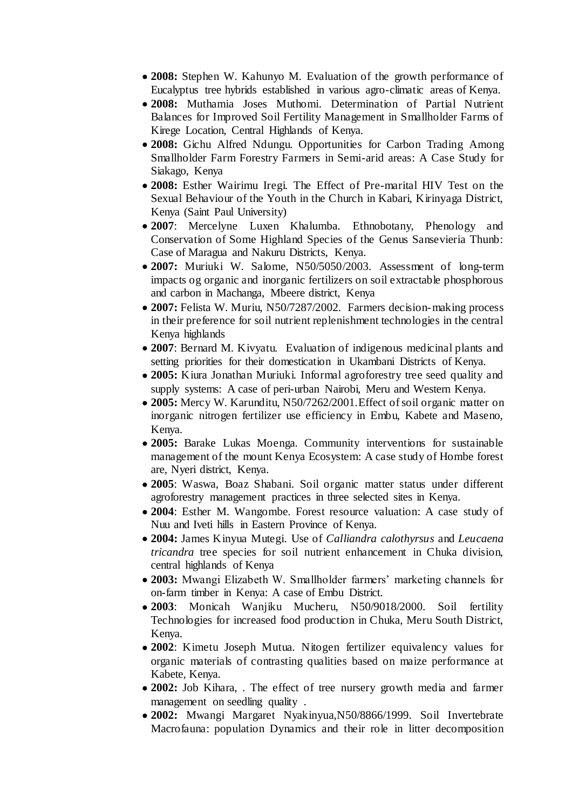- **2008:** Stephen W. Kahunyo M. Evaluation of the growth performance of Eucalyptus tree hybrids established in various agro-climatic areas of Kenya.
- **2008:** Muthamia Joses Muthomi. Determination of Partial Nutrient Balances for Improved Soil Fertility Management in Smallholder Farms of Kirege Location, Central Highlands of Kenya.
- **2008:** Gichu Alfred Ndungu. Opportunities for Carbon Trading Among Smallholder Farm Forestry Farmers in Semi-arid areas: A Case Study for Siakago, Kenya
- **2008:** Esther Wairimu Iregi. The Effect of Pre-marital HIV Test on the Sexual Behaviour of the Youth in the Church in Kabari, Kirinyaga District, Kenya (Saint Paul University)
- **2007**: Mercelyne Luxen Khalumba. Ethnobotany, Phenology and Conservation of Some Highland Species of the Genus Sansevieria Thunb: Case of Maragua and Nakuru Districts, Kenya.
- **2007:** Muriuki W. Salome, N50/5050/2003. Assessment of long-term impacts og organic and inorganic fertilizers on soil extractable phosphorous and carbon in Machanga, Mbeere district, Kenya
- **2007:** Felista W. Muriu, N50/7287/2002. Farmers decision-making process in their preference for soil nutrient replenishment technologies in the central Kenya highlands
- **2007**: Bernard M. Kivyatu. Evaluation of indigenous medicinal plants and setting priorities for their domestication in Ukambani Districts of Kenya.
- **2005:** Kiura Jonathan Muriuki. Informal agroforestry tree seed quality and supply systems: A case of peri-urban Nairobi, Meru and Western Kenya.
- **2005:** Mercy W. Karunditu, N50/7262/2001.Effect of soil organic matter on inorganic nitrogen fertilizer use efficiency in Embu, Kabete and Maseno, Kenya.
- **2005:** Barake Lukas Moenga. Community interventions for sustainable management of the mount Kenya Ecosystem: A case study of Hombe forest are, Nyeri district, Kenya.
- **2005**: Waswa, Boaz Shabani. Soil organic matter status under different agroforestry management practices in three selected sites in Kenya.
- **2004**: Esther M. Wangombe. Forest resource valuation: A case study of Nuu and Iveti hills in Eastern Province of Kenya.
- **2004:** James Kinyua Mutegi. Use of *Calliandra calothyrsus* and *Leucaena tricandra* tree species for soil nutrient enhancement in Chuka division, central highlands of Kenya
- **2003:** Mwangi Elizabeth W. Smallholder farmers' marketing channels for on-farm timber in Kenya: A case of Embu District.
- **2003**: Monicah Wanjiku Mucheru, N50/9018/2000. Soil fertility Technologies for increased food production in Chuka, Meru South District, Kenya.
- **2002**: Kimetu Joseph Mutua. Nitogen fertilizer equivalency values for organic materials of contrasting qualities based on maize performance at Kabete, Kenya.
- **2002:** Job Kihara, . The effect of tree nursery growth media and farmer management on seedling quality .
- **2002:** Mwangi Margaret Nyakinyua,N50/8866/1999. Soil Invertebrate Macrofauna: population Dynamics and their role in litter decomposition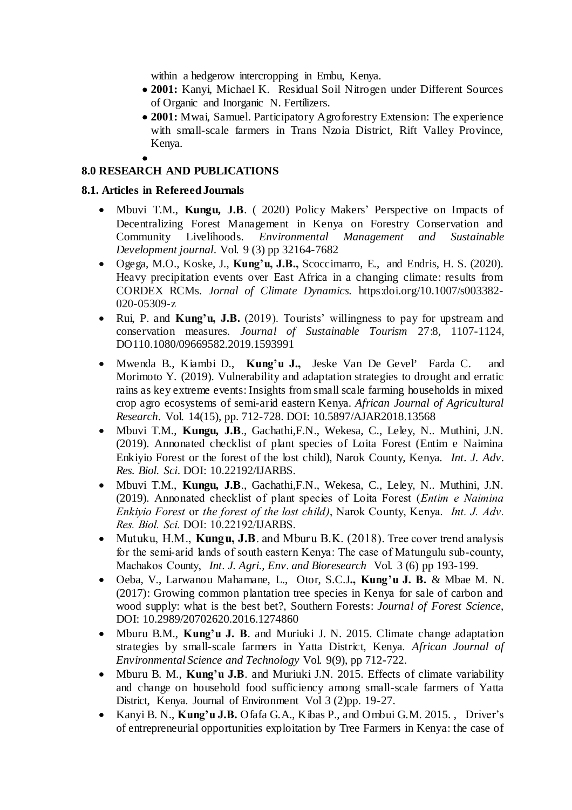within a hedgerow intercropping in Embu, Kenya.

- **2001:** Kanyi, Michael K. Residual Soil Nitrogen under Different Sources of Organic and Inorganic N. Fertilizers.
- **2001:** Mwai, Samuel. Participatory Agroforestry Extension: The experience with small-scale farmers in Trans Nzoia District, Rift Valley Province, Kenya.

#### $\bullet$ **8.0 RESEARCH AND PUBLICATIONS**

### **8.1. Articles in Refereed Journals**

- Mbuvi T.M., **Kungu, J.B**. ( 2020) Policy Makers' Perspective on Impacts of Decentralizing Forest Management in Kenya on Forestry Conservation and Community Livelihoods. Environmental Management and Sustainable Environmental Management and Sustainable *Development journal*. Vol. 9 (3) pp 32164-7682
- Ogega, M.O., Koske, J., **Kung'u, J.B.,** Scoccimarro, E., and Endris, H. S. (2020). Heavy precipitation events over East Africa in a changing climate: results from CORDEX RCMs. *Jornal of Climate Dynamics.* https:doi.org/10.1007/s003382- 020-05309-z
- Rui, P. and **Kung'u, J.B.** (2019). Tourists' willingness to pay for upstream and conservation measures. *Journal of Sustainable Tourism* 27:8, 1107-1124, DO110.1080/09669582.2019.1593991
- Mwenda B., Kiambi D., Kung'u J., Jeske Van De Gevel' Farda C. and Morimoto Y. (2019). Vulnerability and adaptation strategies to drought and erratic rains as key extreme events: Insights from small scale farming households in mixed crop agro ecosystems of semi-arid eastern Kenya. *African Journal of Agricultural Research*. Vol. 14(15), pp. 712-728. DOI: 10.5897/AJAR2018.13568
- Mbuvi T.M., **Kungu, J.B**., Gachathi,F.N., Wekesa, C., Leley, N.. Muthini, J.N. (2019). Annonated checklist of plant species of Loita Forest (Entim e Naimina Enkiyio Forest or the forest of the lost child), Narok County, Kenya. *Int. J. Adv. Res. Biol. Sci*. DOI: 10.22192/IJARBS.
- Mbuvi T.M., **Kungu, J.B**., Gachathi,F.N., Wekesa, C., Leley, N.. Muthini, J.N. (2019). Annonated checklist of plant species of Loita Forest (*Entim e Naimina Enkiyio Forest* or *the forest of the lost child)*, Narok County, Kenya. *Int. J. Adv. Res. Biol. Sci.* DOI: 10.22192/IJARBS.
- Mutuku, H.M., **Kungu, J.B**. and Mburu B.K. (2018). Tree cover trend analysis for the semi-arid lands of south eastern Kenya: The case of Matungulu sub-county, Machakos County, *Int. J. Agri., Env. and Bioresearch* Vol. 3 (6) pp 193-199.
- Oeba, V., Larwanou Mahamane, L., Otor, S.C.J**., Kung'u J. B.** & Mbae M. N. (2017): Growing common plantation tree species in Kenya for sale of carbon and wood supply: what is the best bet?, Southern Forests: *Journal of Forest Science*, DOI: 10.2989/20702620.2016.1274860
- Mburu B.M., **Kung'u J. B**. and Muriuki J. N. 2015. Climate change adaptation strategies by small-scale farmers in Yatta District, Kenya. *African Journal of Environmental Science and Technology* Vol. 9(9), pp 712-722.
- Mburu B. M., **Kung'u J.B**. and Muriuki J.N. 2015. Effects of climate variability and change on household food sufficiency among small-scale farmers of Yatta District, Kenya. Journal of Environment Vol 3 (2)pp. 19-27.
- Kanyi B. N., **Kung'u J.B.** Ofafa G.A., Kibas P., and Ombui G.M. 2015. , Driver's of entrepreneurial opportunities exploitation by Tree Farmers in Kenya: the case of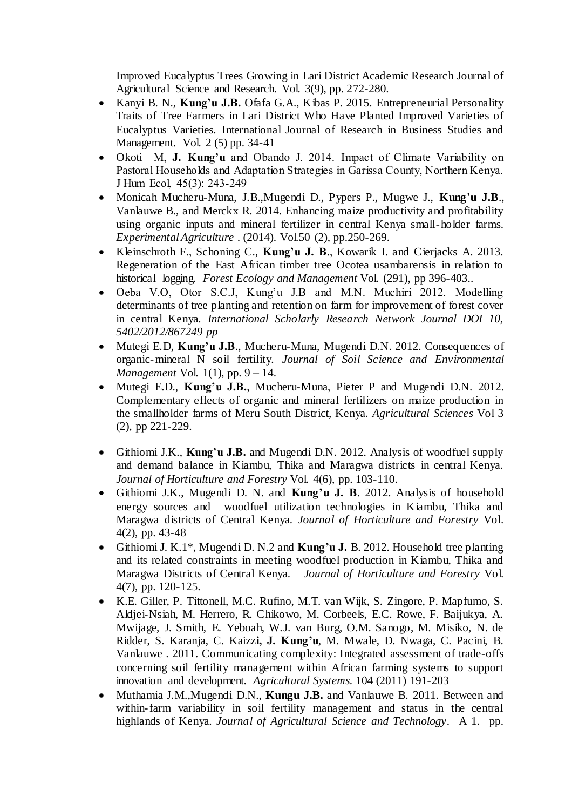Improved Eucalyptus Trees Growing in Lari District Academic Research Journal of Agricultural Science and Research. Vol. 3(9), pp. 272-280.

- Kanyi B. N., **Kung'u J.B.** Ofafa G.A., Kibas P. 2015. Entrepreneurial Personality Traits of Tree Farmers in Lari District Who Have Planted Improved Varieties of Eucalyptus Varieties. International Journal of Research in Business Studies and Management. Vol. 2 (5) pp. 34-41
- Okoti M, **J. Kung'u** and Obando J. 2014. Impact of Climate Variability on Pastoral Households and Adaptation Strategies in Garissa County, Northern Kenya. J Hum Ecol, 45(3): 243-249
- Monicah Mucheru-Muna, J.B.,Mugendi D., Pypers P., Mugwe J., **Kung'u J.B**., Vanlauwe B., and Merckx R. 2014. Enhancing maize productivity and profitability using organic inputs and mineral fertilizer in central Kenya small-holder farms. *Experimental Agriculture* . (2014). Vol.50 (2), pp.250-269.
- Kleinschroth F., Schoning C., **Kung'u J. B**., Kowarik I. and Cierjacks A. 2013. Regeneration of the East African timber tree Ocotea usambarensis in relation to historical logging. *Forest Ecology and Management* Vol. (291), pp 396-403..
- Oeba V.O, Otor S.C.J, Kung'u J.B and M.N. Muchiri 2012. Modelling determinants of tree planting and retention on farm for improvement of forest cover in central Kenya. *International Scholarly Research Network Journal DOI 10, 5402/2012/867249 pp*
- Mutegi E.D, **Kung'u J.B**., Mucheru-Muna, Mugendi D.N. 2012. Consequences of organic-mineral N soil fertility. *Journal of Soil Science and Environmental Management* Vol. 1(1), pp. 9 – 14.
- Mutegi E.D., **Kung'u J.B.**, Mucheru-Muna, Pieter P and Mugendi D.N. 2012. Complementary effects of organic and mineral fertilizers on maize production in the smallholder farms of Meru South District, Kenya. *Agricultural Sciences* Vol 3 (2), pp 221-229.
- Githiomi J.K., **Kung'u J.B.** and Mugendi D.N. 2012. Analysis of woodfuel supply and demand balance in Kiambu, Thika and Maragwa districts in central Kenya. *Journal of Horticulture and Forestry* Vol. 4(6), pp. 103-110.
- Githiomi J.K., Mugendi D. N. and **Kung'u J. B**. 2012. Analysis of household energy sources and woodfuel utilization technologies in Kiambu, Thika and Maragwa districts of Central Kenya. *Journal of Horticulture and Forestry* Vol. 4(2), pp. 43-48
- Githiomi J. K.1\*, Mugendi D. N.2 and **Kung'u J.** B. 2012. Household tree planting and its related constraints in meeting woodfuel production in Kiambu, Thika and Maragwa Districts of Central Kenya. *Journal of Horticulture and Forestry* Vol. 4(7), pp. 120-125.
- K.E. Giller, P. Tittonell, M.C. Rufino, M.T. van Wijk, S. Zingore, P. Mapfumo, S. Aldjei-Nsiah, M. Herrero, R. Chikowo, M. Corbeels, E.C. Rowe, F. Baijukya, A. Mwijage, J. Smith, E. Yeboah, W.J. van Burg, O.M. Sanogo, M. Misiko, N. de Ridder, S. Karanja, C. Kaizz**i, J. Kung'u**, M. Mwale, D. Nwaga, C. Pacini, B. Vanlauwe . 2011. Communicating complexity: Integrated assessment of trade-offs concerning soil fertility management within African farming systems to support innovation and development. *Agricultural Systems.* 104 (2011) 191-203
- Muthamia J.M.,Mugendi D.N., **Kungu J.B.** and Vanlauwe B. 2011. Between and within-farm variability in soil fertility management and status in the central highlands of Kenya. *Journal of Agricultural Science and Technology*. A 1. pp.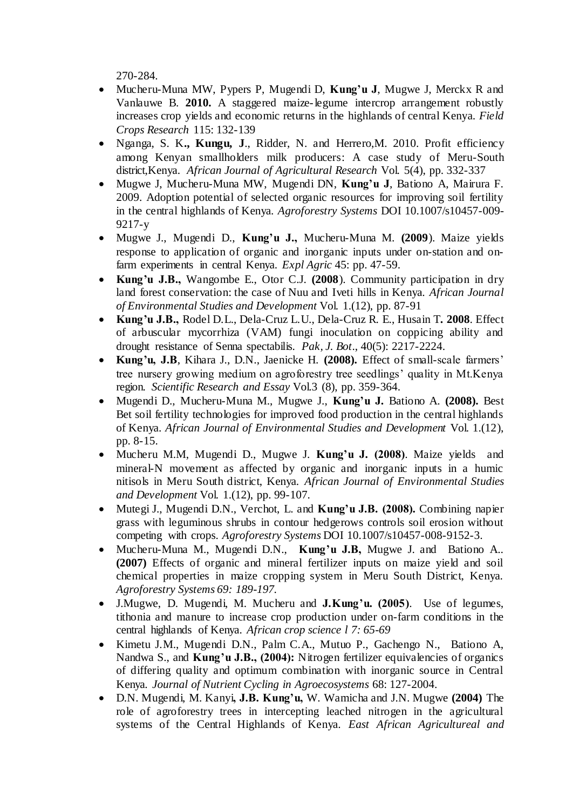270-284.

- Mucheru-Muna MW, Pypers P, Mugendi D, **Kung'u J**, Mugwe J, Merckx R and Vanlauwe B. **2010.** A staggered maize-legume intercrop arrangement robustly increases crop yields and economic returns in the highlands of central Kenya. *Field Crops Research* 115: 132-139
- Nganga, S. K**., Kungu, J**., Ridder, N. and Herrero,M. 2010. Profit efficiency among Kenyan smallholders milk producers: A case study of Meru-South district,Kenya. *African Journal of Agricultural Research* Vol. 5(4), pp. 332-337
- Mugwe J, Mucheru-Muna MW, Mugendi DN, **Kung'u J**, Bationo A, Mairura F. 2009. Adoption potential of selected organic resources for improving soil fertility in the central highlands of Kenya. *Agroforestry Systems* DOI 10.1007/s10457-009- 9217-y
- Mugwe J., Mugendi D., **Kung'u J.,** Mucheru-Muna M. **(2009**). Maize yields response to application of organic and inorganic inputs under on-station and onfarm experiments in central Kenya. *Expl Agric* 45: pp. 47-59.
- **Kung'u J.B.,** Wangombe E., Otor C.J. **(2008**). Community participation in dry land forest conservation: the case of Nuu and Iveti hills in Kenya. *African Journal of Environmental Studies and Development* Vol. 1.(12), pp. 87-91
- **Kung'u J.B.,** Rodel D.L., Dela-Cruz L.U., Dela-Cruz R. E., Husain T**. 2008**. Effect of arbuscular mycorrhiza (VAM) fungi inoculation on coppicing ability and drought resistance of Senna spectabilis. *Pak, J. Bot*., 40(5): 2217-2224.
- **Kung'u, J.B**, Kihara J., D.N., Jaenicke H. **(2008).** Effect of small-scale farmers' tree nursery growing medium on agroforestry tree seedlings' quality in Mt.Kenya region. *Scientific Research and Essay* Vol.3 (8), pp. 359-364.
- Mugendi D., Mucheru-Muna M., Mugwe J., **Kung'u J.** Bationo A. **(2008).** Best Bet soil fertility technologies for improved food production in the central highlands of Kenya. *African Journal of Environmental Studies and Development* Vol. 1.(12), pp. 8-15.
- Mucheru M.M, Mugendi D., Mugwe J. **Kung'u J. (2008)**. Maize yields and mineral-N movement as affected by organic and inorganic inputs in a humic nitisols in Meru South district, Kenya. *African Journal of Environmental Studies and Development* Vol. 1.(12), pp. 99-107.
- Mutegi J., Mugendi D.N., Verchot, L. and **Kung'u J.B. (2008).** Combining napier grass with leguminous shrubs in contour hedgerows controls soil erosion without competing with crops. *Agroforestry Systems* DOI 10.1007/s10457-008-9152-3.
- Mucheru-Muna M., Mugendi D.N., **Kung'u J.B,** Mugwe J. and Bationo A.. **(2007)** Effects of organic and mineral fertilizer inputs on maize yield and soil chemical properties in maize cropping system in Meru South District, Kenya. *Agroforestry Systems 69: 189-197.*
- J.Mugwe, D. Mugendi, M. Mucheru and **J.Kung'u. (2005)**. Use of legumes, tithonia and manure to increase crop production under on-farm conditions in the central highlands of Kenya. *African crop science l 7: 65-69*
- Kimetu J.M., Mugendi D.N., Palm C.A., Mutuo P., Gachengo N., Bationo A, Nandwa S., and **Kung'u J.B., (2004):** Nitrogen fertilizer equivalencies of organics of differing quality and optimum combination with inorganic source in Central Kenya*. Journal of Nutrient Cycling in Agroecosystems* 68: 127-2004.
- D.N. Mugendi, M. Kanyi**, J.B. Kung'u,** W. Wamicha and J.N. Mugwe **(2004)** The role of agroforestry trees in intercepting leached nitrogen in the agricultural systems of the Central Highlands of Kenya. *East African Agricultureal and*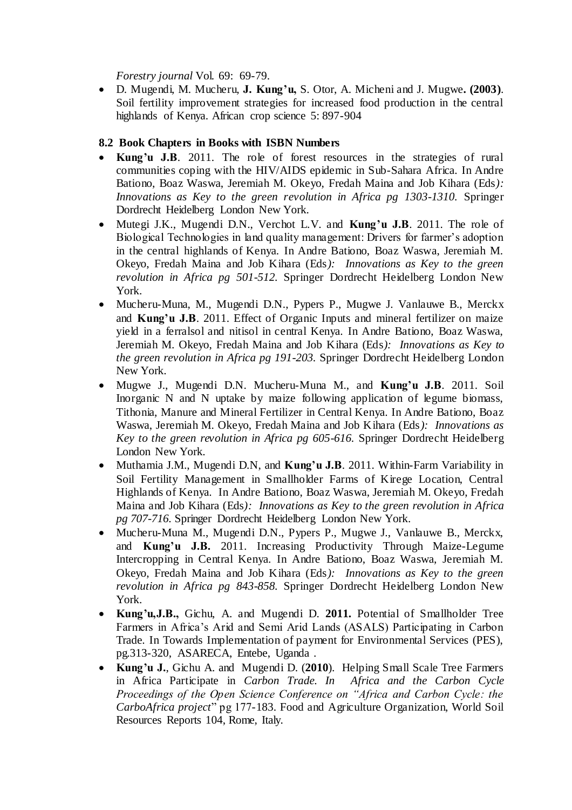*Forestry journal* Vol. 69: 69-79.

 D. Mugendi, M. Mucheru, **J. Kung'u,** S. Otor, A. Micheni and J. Mugwe**. (2003)**. Soil fertility improvement strategies for increased food production in the central highlands of Kenya. African crop science 5: 897-904

### **8.2 Book Chapters in Books with ISBN Numbers**

- Kung'u J.B. 2011. The role of forest resources in the strategies of rural communities coping with the HIV/AIDS epidemic in Sub-Sahara Africa. In Andre Bationo, Boaz Waswa, Jeremiah M. Okeyo, Fredah Maina and Job Kihara (Eds*): Innovations as Key to the green revolution in Africa pg 1303-1310.* Springer Dordrecht Heidelberg London New York.
- Mutegi J.K., Mugendi D.N., Verchot L.V. and **Kung'u J.B**. 2011. The role of Biological Technologies in land quality management: Drivers for farmer's adoption in the central highlands of Kenya. In Andre Bationo, Boaz Waswa, Jeremiah M. Okeyo, Fredah Maina and Job Kihara (Eds*): Innovations as Key to the green revolution in Africa pg 501-512.* Springer Dordrecht Heidelberg London New York.
- Mucheru-Muna, M., Mugendi D.N., Pypers P., Mugwe J. Vanlauwe B., Merckx and **Kung'u J.B**. 2011. Effect of Organic Inputs and mineral fertilizer on maize yield in a ferralsol and nitisol in central Kenya. In Andre Bationo, Boaz Waswa, Jeremiah M. Okeyo, Fredah Maina and Job Kihara (Eds*): Innovations as Key to the green revolution in Africa pg 191-203.* Springer Dordrecht Heidelberg London New York.
- Mugwe J., Mugendi D.N. Mucheru-Muna M., and **Kung'u J.B**. 2011. Soil Inorganic N and N uptake by maize following application of legume biomass, Tithonia, Manure and Mineral Fertilizer in Central Kenya. In Andre Bationo, Boaz Waswa, Jeremiah M. Okeyo, Fredah Maina and Job Kihara (Eds*): Innovations as Key to the green revolution in Africa pg 605-616.* Springer Dordrecht Heidelberg London New York.
- Muthamia J.M., Mugendi D.N, and **Kung'u J.B**. 2011. Within-Farm Variability in Soil Fertility Management in Smallholder Farms of Kirege Location, Central Highlands of Kenya. In Andre Bationo, Boaz Waswa, Jeremiah M. Okeyo, Fredah Maina and Job Kihara (Eds*): Innovations as Key to the green revolution in Africa pg 707-716.* Springer Dordrecht Heidelberg London New York.
- Mucheru-Muna M., Mugendi D.N., Pypers P., Mugwe J., Vanlauwe B., Merckx, and **Kung'u J.B.** 2011. Increasing Productivity Through Maize-Legume Intercropping in Central Kenya. In Andre Bationo, Boaz Waswa, Jeremiah M. Okeyo, Fredah Maina and Job Kihara (Eds*): Innovations as Key to the green revolution in Africa pg 843-858.* Springer Dordrecht Heidelberg London New York.
- **Kung'u,J.B.,** Gichu, A. and Mugendi D. **2011.** Potential of Smallholder Tree Farmers in Africa's Arid and Semi Arid Lands (ASALS) Participating in Carbon Trade. In Towards Implementation of payment for Environmental Services (PES), pg.313-320, ASARECA, Entebe, Uganda .
- **Kung'u J.**, Gichu A. and Mugendi D. (**2010**). Helping Small Scale Tree Farmers in Africa Participate in *Carbon Trade. In Africa and the Carbon Cycle Proceedings of the Open Science Conference on "Africa and Carbon Cycle: the CarboAfrica project*" pg 177-183. Food and Agriculture Organization, World Soil Resources Reports 104, Rome, Italy.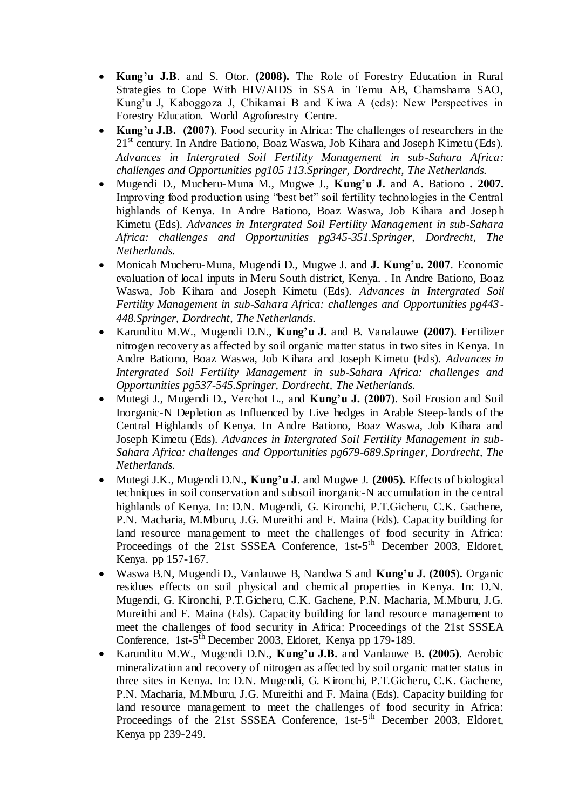- **Kung'u J.B**. and S. Otor. **(2008).** The Role of Forestry Education in Rural Strategies to Cope With HIV/AIDS in SSA in Temu AB, Chamshama SAO, Kung'u J, Kaboggoza J, Chikamai B and Kiwa A (eds): New Perspectives in Forestry Education. World Agroforestry Centre.
- **Kung'u J.B. (2007)**. Food security in Africa: The challenges of researchers in the  $21<sup>st</sup>$  century. In Andre Bationo, Boaz Waswa, Job Kihara and Joseph Kimetu (Eds). *Advances in Intergrated Soil Fertility Management in sub-Sahara Africa: challenges and Opportunities pg105 113.Springer, Dordrecht, The Netherlands.*
- Mugendi D., Mucheru-Muna M., Mugwe J., **Kung'u J.** and A. Bationo **. 2007.**  Improving food production using "best bet" soil fertility technologies in the Central highlands of Kenya. In Andre Bationo, Boaz Waswa, Job Kihara and Josep h Kimetu (Eds). *Advances in Intergrated Soil Fertility Management in sub-Sahara Africa: challenges and Opportunities pg345-351.Springer, Dordrecht, The Netherlands.*
- Monicah Mucheru-Muna, Mugendi D., Mugwe J. and **J. Kung'u. 2007**. Economic evaluation of local inputs in Meru South district, Kenya. . In Andre Bationo, Boaz Waswa, Job Kihara and Joseph Kimetu (Eds). *Advances in Intergrated Soil Fertility Management in sub-Sahara Africa: challenges and Opportunities pg443- 448.Springer, Dordrecht, The Netherlands.*
- Karunditu M.W., Mugendi D.N., **Kung'u J.** and B. Vanalauwe **(2007)**. Fertilizer nitrogen recovery as affected by soil organic matter status in two sites in Kenya. In Andre Bationo, Boaz Waswa, Job Kihara and Joseph Kimetu (Eds). *Advances in Intergrated Soil Fertility Management in sub-Sahara Africa: challenges and Opportunities pg537-545.Springer, Dordrecht, The Netherlands.*
- Mutegi J., Mugendi D., Verchot L., and **Kung'u J. (2007)**. Soil Erosion and Soil Inorganic-N Depletion as Influenced by Live hedges in Arable Steep-lands of the Central Highlands of Kenya. In Andre Bationo, Boaz Waswa, Job Kihara and Joseph Kimetu (Eds). *Advances in Intergrated Soil Fertility Management in sub-Sahara Africa: challenges and Opportunities pg679-689.Springer, Dordrecht, The Netherlands.*
- Mutegi J.K., Mugendi D.N., **Kung'u J**. and Mugwe J. **(2005).** Effects of biological techniques in soil conservation and subsoil inorganic-N accumulation in the central highlands of Kenya. In: D.N. Mugendi, G. Kironchi, P.T.Gicheru, C.K. Gachene, P.N. Macharia, M.Mburu, J.G. Mureithi and F. Maina (Eds). Capacity building for land resource management to meet the challenges of food security in Africa: Proceedings of the 21st SSSEA Conference, 1st-5<sup>th</sup> December 2003, Eldoret, Kenya. pp 157-167.
- Waswa B.N, Mugendi D., Vanlauwe B, Nandwa S and **Kung'u J. (2005).** Organic residues effects on soil physical and chemical properties in Kenya. In: D.N. Mugendi, G. Kironchi, P.T.Gicheru, C.K. Gachene, P.N. Macharia, M.Mburu, J.G. Mureithi and F. Maina (Eds). Capacity building for land resource management to meet the challenges of food security in Africa: Proceedings of the 21st SSSEA Conference, 1st-5<sup>th</sup> December 2003, Eldoret, Kenya pp 179-189.
- Karunditu M.W., Mugendi D.N., **Kung'u J.B.** and Vanlauwe B**. (2005)**. Aerobic mineralization and recovery of nitrogen as affected by soil organic matter status in three sites in Kenya. In: D.N. Mugendi, G. Kironchi, P.T.Gicheru, C.K. Gachene, P.N. Macharia, M.Mburu, J.G. Mureithi and F. Maina (Eds). Capacity building for land resource management to meet the challenges of food security in Africa: Proceedings of the 21st SSSEA Conference, 1st-5<sup>th</sup> December 2003, Eldoret, Kenya pp 239-249.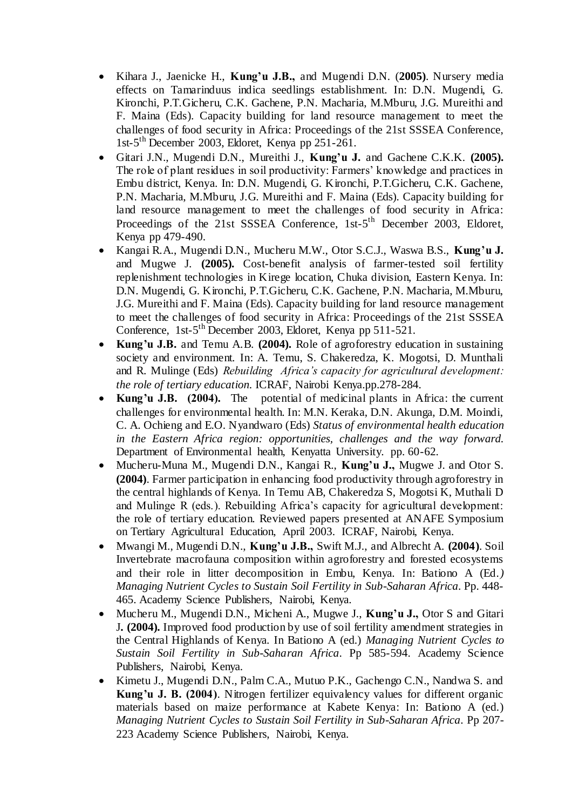- Kihara J., Jaenicke H., **Kung'u J.B.,** and Mugendi D.N. (**2005)**. Nursery media effects on Tamarinduus indica seedlings establishment. In: D.N. Mugendi, G. Kironchi, P.T.Gicheru, C.K. Gachene, P.N. Macharia, M.Mburu, J.G. Mureithi and F. Maina (Eds). Capacity building for land resource management to meet the challenges of food security in Africa: Proceedings of the 21st SSSEA Conference, 1st-5 th December 2003, Eldoret, Kenya pp 251-261.
- Gitari J.N., Mugendi D.N., Mureithi J., **Kung'u J.** and Gachene C.K.K. **(2005).**  The role of plant residues in soil productivity: Farmers' knowledge and practices in Embu district, Kenya. In: D.N. Mugendi, G. Kironchi, P.T.Gicheru, C.K. Gachene, P.N. Macharia, M.Mburu, J.G. Mureithi and F. Maina (Eds). Capacity building for land resource management to meet the challenges of food security in Africa: Proceedings of the 21st SSSEA Conference, 1st-5<sup>th</sup> December 2003, Eldoret, Kenya pp 479-490.
- Kangai R.A., Mugendi D.N., Mucheru M.W., Otor S.C.J., Waswa B.S., **Kung'u J.**  and Mugwe J. **(2005).** Cost-benefit analysis of farmer-tested soil fertility replenishment technologies in Kirege location, Chuka division, Eastern Kenya. In: D.N. Mugendi, G. Kironchi, P.T.Gicheru, C.K. Gachene, P.N. Macharia, M.Mburu, J.G. Mureithi and F. Maina (Eds). Capacity building for land resource management to meet the challenges of food security in Africa: Proceedings of the 21st SSSEA Conference, 1st-5<sup>th</sup> December 2003, Eldoret, Kenya pp 511-521.
- **Kung'u J.B.** and Temu A.B. **(2004).** Role of agroforestry education in sustaining society and environment. In: A. Temu, S. Chakeredza, K. Mogotsi, D. Munthali and R. Mulinge (Eds) *Rebuilding Africa's capacity for agricultural development: the role of tertiary education.* ICRAF, Nairobi Kenya.pp.278-284.
- **Kung'u J.B. (2004).** The potential of medicinal plants in Africa: the current challenges for environmental health. In: M.N. Keraka, D.N. Akunga, D.M. Moindi, C. A. Ochieng and E.O. Nyandwaro (Eds) *Status of environmental health education in the Eastern Africa region: opportunities, challenges and the way forward.*  Department of Environmental health, Kenyatta University. pp. 60-62.
- Mucheru-Muna M., Mugendi D.N., Kangai R., **Kung'u J.,** Mugwe J. and Otor S. **(2004)**. Farmer participation in enhancing food productivity through agroforestry in the central highlands of Kenya. In Temu AB, Chakeredza S, Mogotsi K, Muthali D and Mulinge R (eds.). Rebuilding Africa's capacity for agricultural development: the role of tertiary education. Reviewed papers presented at ANAFE Symposium on Tertiary Agricultural Education, April 2003. ICRAF, Nairobi, Kenya.
- Mwangi M., Mugendi D.N., **Kung'u J.B.,** Swift M.J., and Albrecht A. **(2004)**. Soil Invertebrate macrofauna composition within agroforestry and forested ecosystems and their role in litter decomposition in Embu, Kenya. In: Bationo A (Ed*.) Managing Nutrient Cycles to Sustain Soil Fertility in Sub-Saharan Africa*. Pp. 448- 465. Academy Science Publishers, Nairobi, Kenya.
- Mucheru M., Mugendi D.N., Micheni A., Mugwe J., **Kung'u J.,** Otor S and Gitari J**. (2004).** Improved food production by use of soil fertility amendment strategies in the Central Highlands of Kenya. In Bationo A (ed.) *Managing Nutrient Cycles to Sustain Soil Fertility in Sub-Saharan Africa*. Pp 585-594. Academy Science Publishers, Nairobi, Kenya.
- Kimetu J., Mugendi D.N., Palm C.A., Mutuo P.K., Gachengo C.N., Nandwa S. and **Kung'u J. B. (2004)**. Nitrogen fertilizer equivalency values for different organic materials based on maize performance at Kabete Kenya: In: Bationo A (ed.) *Managing Nutrient Cycles to Sustain Soil Fertility in Sub-Saharan Africa*. Pp 207- 223 Academy Science Publishers, Nairobi, Kenya.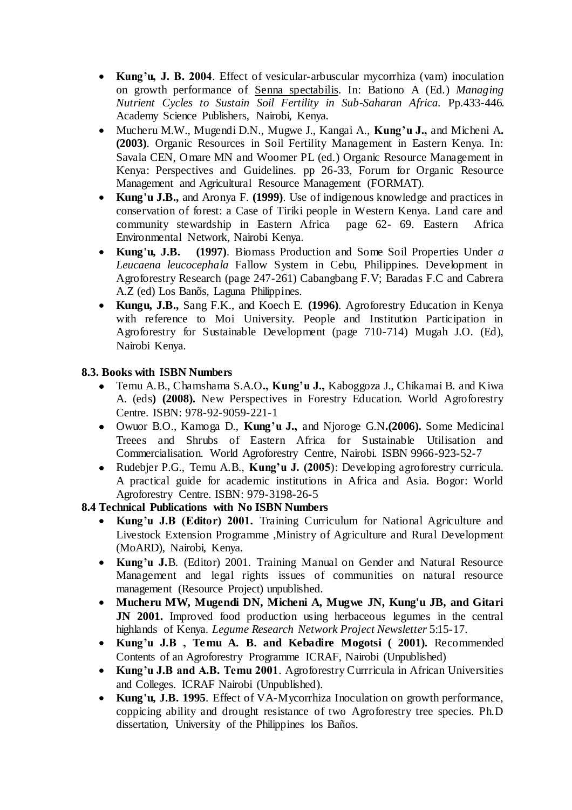- **Kung'u, J. B. 2004**. Effect of vesicular-arbuscular mycorrhiza (vam) inoculation on growth performance of Senna spectabilis. In: Bationo A (Ed.) *Managing Nutrient Cycles to Sustain Soil Fertility in Sub-Saharan Africa.* Pp.433-446. Academy Science Publishers, Nairobi, Kenya.
- Mucheru M.W., Mugendi D.N., Mugwe J., Kangai A., **Kung'u J.,** and Micheni A**. (2003)**. Organic Resources in Soil Fertility Management in Eastern Kenya. In: Savala CEN, Omare MN and Woomer PL (ed.) Organic Resource Management in Kenya: Perspectives and Guidelines. pp 26-33, Forum for Organic Resource Management and Agricultural Resource Management (FORMAT).
- **Kung'u J.B.,** and Aronya F. **(1999)**. Use of indigenous knowledge and practices in conservation of forest: a Case of Tiriki people in Western Kenya. Land care and community stewardship in Eastern Africa page 62- 69. Eastern Africa Environmental Network, Nairobi Kenya.
- **Kung'u, J.B. (1997)**. Biomass Production and Some Soil Properties Under *a Leucaena leucocephala* Fallow System in Cebu, Philippines. Development in Agroforestry Research (page 247-261) Cabangbang F.V; Baradas F.C and Cabrera A.Z (ed) Los Banõs, Laguna Philippines.
- **Kungu, J.B.,** Sang F.K., and Koech E. **(1996)**. Agroforestry Education in Kenya with reference to Moi University. People and Institution Participation in Agroforestry for Sustainable Development (page 710-714) Mugah J.O. (Ed), Nairobi Kenya.

### **8.3. Books with ISBN Numbers**

- Temu A.B., Chamshama S.A.O**., Kung'u J.,** Kaboggoza J., Chikamai B. and Kiwa A. (eds**) (2008).** New Perspectives in Forestry Education. World Agroforestry Centre. ISBN: 978-92-9059-221-1
- Owuor B.O., Kamoga D., **Kung'u J.,** and Njoroge G.N**.(2006).** Some Medicinal Treees and Shrubs of Eastern Africa for Sustainable Utilisation and Commercialisation. World Agroforestry Centre, Nairobi. ISBN 9966-923-52-7
- Rudebjer P.G., Temu A.B., **Kung'u J. (2005**): Developing agroforestry curricula. A practical guide for academic institutions in Africa and Asia. Bogor: World Agroforestry Centre. ISBN: 979-3198-26-5

**8.4 Technical Publications with No ISBN Numbers**

- **Kung'u J.B (Editor) 2001.** Training Curriculum for National Agriculture and Livestock Extension Programme ,Ministry of Agriculture and Rural Development (MoARD), Nairobi, Kenya.
- **Kung'u J.**B. (Editor) 2001. Training Manual on Gender and Natural Resource Management and legal rights issues of communities on natural resource management (Resource Project) unpublished.
- **Mucheru MW, Mugendi DN, Micheni A, Mugwe JN, Kung'u JB, and Gitari JN 2001.** Improved food production using herbaceous legumes in the central highlands of Kenya. *Legume Research Network Project Newsletter* 5:15-17.
- **Kung'u J.B , Temu A. B. and Kebadire Mogotsi ( 2001).** Recommended Contents of an Agroforestry Programme ICRAF, Nairobi (Unpublished)
- **Kung'u J.B and A.B. Temu 2001**. Agroforestry Currricula in African Universities and Colleges. ICRAF Nairobi (Unpublished).
- **Kung'u, J.B. 1995**. Effect of VA-Mycorrhiza Inoculation on growth performance, coppicing ability and drought resistance of two Agroforestry tree species. Ph.D dissertation, University of the Philippines los Baños.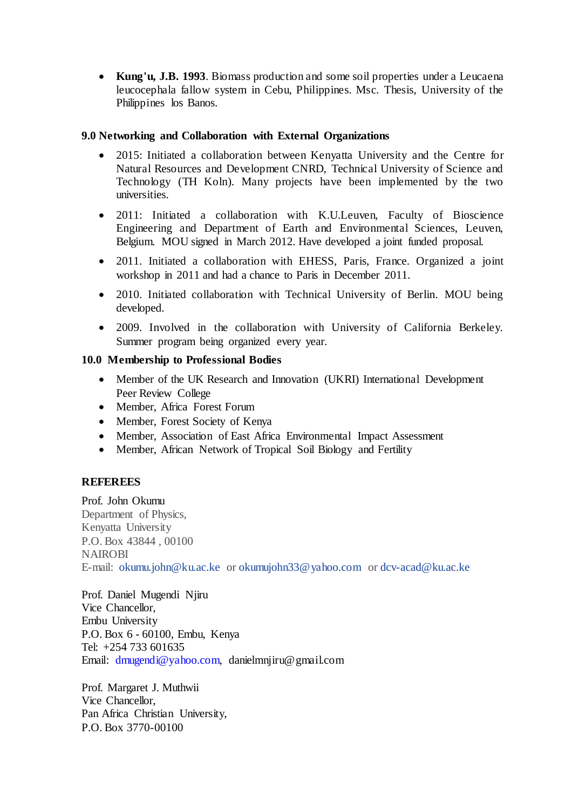**Kung'u, J.B. 1993**. Biomass production and some soil properties under a Leucaena leucocephala fallow system in Cebu, Philippines. Msc. Thesis, University of the Philippines los Banos.

### **9.0 Networking and Collaboration with External Organizations**

- 2015: Initiated a collaboration between Kenyatta University and the Centre for Natural Resources and Development CNRD, Technical University of Science and Technology (TH Koln). Many projects have been implemented by the two universities.
- 2011: Initiated a collaboration with K.U.Leuven, Faculty of Bioscience Engineering and Department of Earth and Environmental Sciences, Leuven, Belgium. MOU signed in March 2012. Have developed a joint funded proposal.
- 2011. Initiated a collaboration with EHESS, Paris, France. Organized a joint workshop in 2011 and had a chance to Paris in December 2011.
- 2010. Initiated collaboration with Technical University of Berlin. MOU being developed.
- 2009. Involved in the collaboration with University of California Berkeley. Summer program being organized every year.

### **10.0 Membership to Professional Bodies**

- Member of the UK Research and Innovation (UKRI) International Development Peer Review College
- Member, Africa Forest Forum
- Member, Forest Society of Kenya
- Member, Association of East Africa Environmental Impact Assessment
- Member, African Network of Tropical Soil Biology and Fertility

### **REFEREES**

Prof. John Okumu Department of Physics, Kenyatta University P.O. Box 43844 , 00100 NAIROBI E-mail: [okumu.john@ku.ac.ke](mailto:okumu.john@ku.ac.ke) or [okumujohn33@yahoo.com](mailto:okumujohn33@yahoo.com) or [dcv-acad@ku.ac.ke](mailto:dcv-acad@ku.ac.ke)

Prof. Daniel Mugendi Njiru Vice Chancellor, Embu University P.O. Box 6 - 60100, Embu, Kenya Tel: +254 733 601635 Email: dmugendi@yahoo.com, danielmnjiru@gmail.com

Prof. Margaret J. Muthwii Vice Chancellor, Pan Africa Christian University, P.O. Box 3770-00100